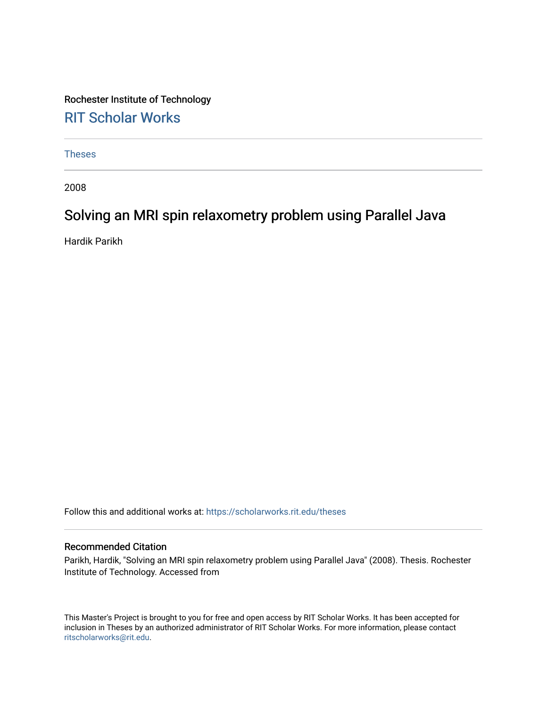Rochester Institute of Technology [RIT Scholar Works](https://scholarworks.rit.edu/)

[Theses](https://scholarworks.rit.edu/theses) 

2008

### Solving an MRI spin relaxometry problem using Parallel Java

Hardik Parikh

Follow this and additional works at: [https://scholarworks.rit.edu/theses](https://scholarworks.rit.edu/theses?utm_source=scholarworks.rit.edu%2Ftheses%2F6935&utm_medium=PDF&utm_campaign=PDFCoverPages) 

#### Recommended Citation

Parikh, Hardik, "Solving an MRI spin relaxometry problem using Parallel Java" (2008). Thesis. Rochester Institute of Technology. Accessed from

This Master's Project is brought to you for free and open access by RIT Scholar Works. It has been accepted for inclusion in Theses by an authorized administrator of RIT Scholar Works. For more information, please contact [ritscholarworks@rit.edu](mailto:ritscholarworks@rit.edu).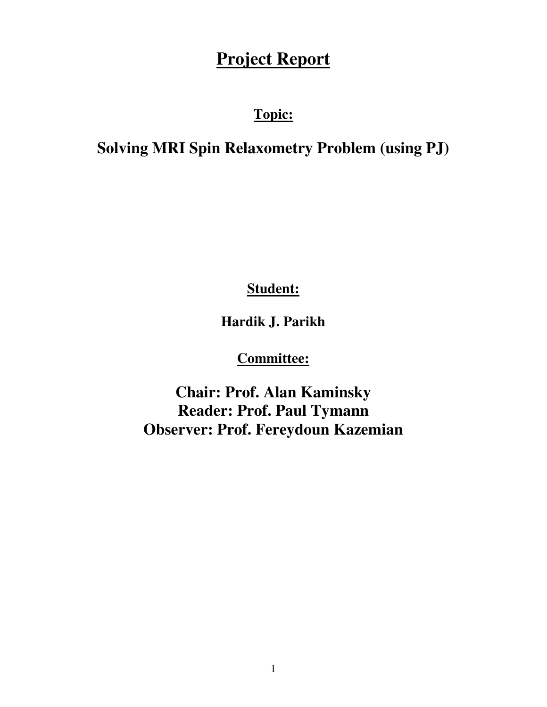# **Project Report**

## **Topic:**

# **Solving MRI Spin Relaxometry Problem (using PJ)**

**Student:**

**Hardik J. Parikh** 

**Committee:**

**Chair: Prof. Alan Kaminsky Reader: Prof. Paul Tymann Observer: Prof. Fereydoun Kazemian**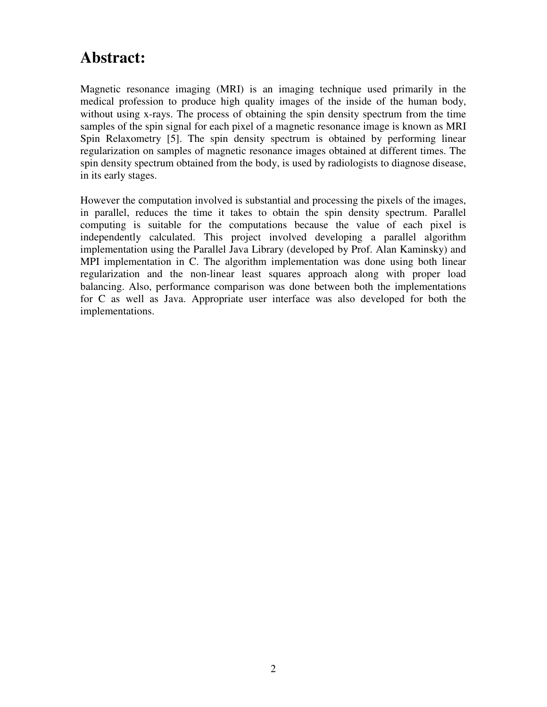# **Abstract:**

Magnetic resonance imaging (MRI) is an imaging technique used primarily in the medical profession to produce high quality images of the inside of the human body, without using x-rays. The process of obtaining the spin density spectrum from the time samples of the spin signal for each pixel of a magnetic resonance image is known as MRI Spin Relaxometry [5]. The spin density spectrum is obtained by performing linear regularization on samples of magnetic resonance images obtained at different times. The spin density spectrum obtained from the body, is used by radiologists to diagnose disease, in its early stages.

However the computation involved is substantial and processing the pixels of the images, in parallel, reduces the time it takes to obtain the spin density spectrum. Parallel computing is suitable for the computations because the value of each pixel is independently calculated. This project involved developing a parallel algorithm implementation using the Parallel Java Library (developed by Prof. Alan Kaminsky) and MPI implementation in C. The algorithm implementation was done using both linear regularization and the non-linear least squares approach along with proper load balancing. Also, performance comparison was done between both the implementations for C as well as Java. Appropriate user interface was also developed for both the implementations.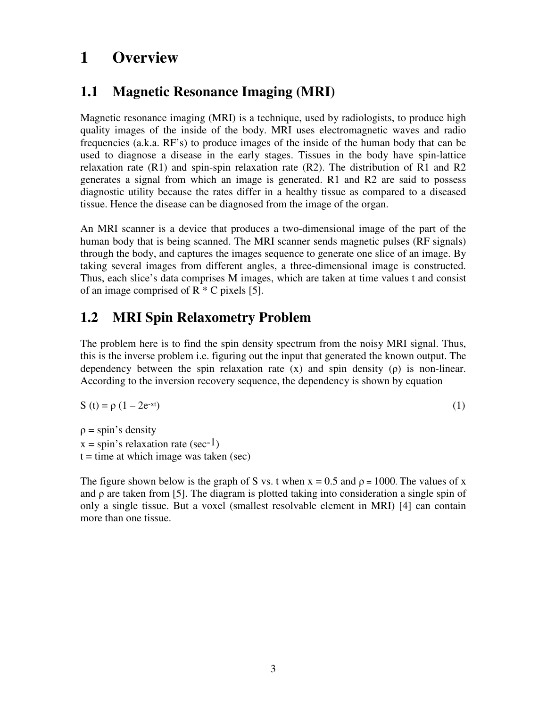## **1 Overview**

### **1.1 Magnetic Resonance Imaging (MRI)**

Magnetic resonance imaging (MRI) is a technique, used by radiologists, to produce high quality images of the inside of the body. MRI uses electromagnetic waves and radio frequencies (a.k.a. RF's) to produce images of the inside of the human body that can be used to diagnose a disease in the early stages. Tissues in the body have spin-lattice relaxation rate (R1) and spin-spin relaxation rate (R2). The distribution of R1 and R2 generates a signal from which an image is generated. R1 and R2 are said to possess diagnostic utility because the rates differ in a healthy tissue as compared to a diseased tissue. Hence the disease can be diagnosed from the image of the organ.

An MRI scanner is a device that produces a two-dimensional image of the part of the human body that is being scanned. The MRI scanner sends magnetic pulses (RF signals) through the body, and captures the images sequence to generate one slice of an image. By taking several images from different angles, a three-dimensional image is constructed. Thus, each slice's data comprises M images, which are taken at time values t and consist of an image comprised of  $R \times C$  pixels [5].

### **1.2 MRI Spin Relaxometry Problem**

The problem here is to find the spin density spectrum from the noisy MRI signal. Thus, this is the inverse problem i.e. figuring out the input that generated the known output. The dependency between the spin relaxation rate  $(x)$  and spin density  $(\rho)$  is non-linear. According to the inversion recovery sequence, the dependency is shown by equation

$$
S(t) = \rho (1 - 2e^{-xt})
$$
 (1)

 $\rho =$ spin's density  $x = spin's$  relaxation rate (sec-1)  $t =$  time at which image was taken (sec)

The figure shown below is the graph of S vs. t when  $x = 0.5$  and  $\rho = 1000$ . The values of x and ρ are taken from [5]. The diagram is plotted taking into consideration a single spin of only a single tissue. But a voxel (smallest resolvable element in MRI) [4] can contain more than one tissue.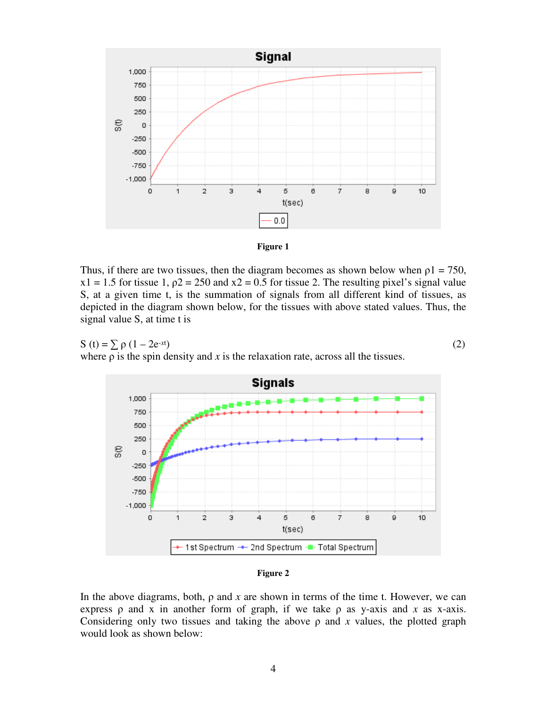



Thus, if there are two tissues, then the diagram becomes as shown below when  $\rho$ 1 = 750,  $x1 = 1.5$  for tissue 1,  $p2 = 250$  and  $x2 = 0.5$  for tissue 2. The resulting pixel's signal value S, at a given time t, is the summation of signals from all different kind of tissues, as depicted in the diagram shown below, for the tissues with above stated values. Thus, the signal value S, at time t is

$$
S(t) = \sum \rho (1 - 2e^{-xt})
$$
  
where  $\rho$  is the spin density and x is the relaxation rate, across all the tissues. (2)



#### **Figure 2**

In the above diagrams, both,  $\rho$  and  $x$  are shown in terms of the time t. However, we can express  $\rho$  and x in another form of graph, if we take  $\rho$  as y-axis and x as x-axis. Considering only two tissues and taking the above  $\rho$  and  $x$  values, the plotted graph would look as shown below: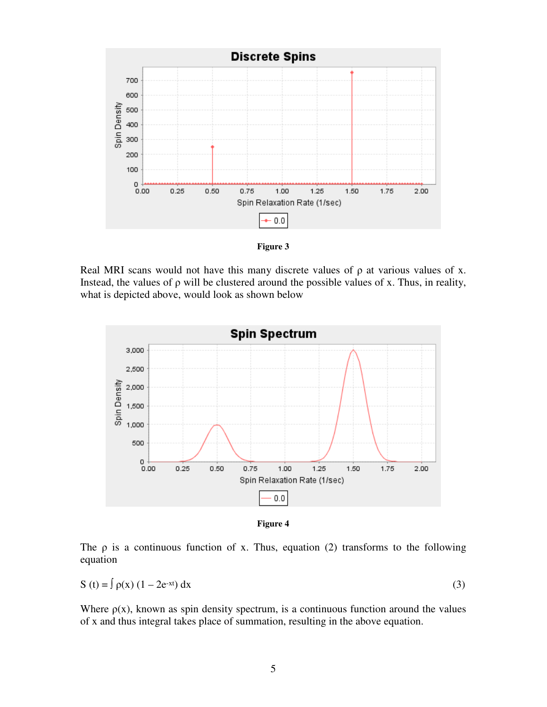



Real MRI scans would not have this many discrete values of  $\rho$  at various values of x. Instead, the values of  $\rho$  will be clustered around the possible values of x. Thus, in reality, what is depicted above, would look as shown below



**Figure 4** 

The  $\rho$  is a continuous function of x. Thus, equation (2) transforms to the following equation

$$
S(t) = \int \rho(x) (1 - 2e^{-xt}) dx
$$
 (3)

Where  $\rho(x)$ , known as spin density spectrum, is a continuous function around the values of x and thus integral takes place of summation, resulting in the above equation.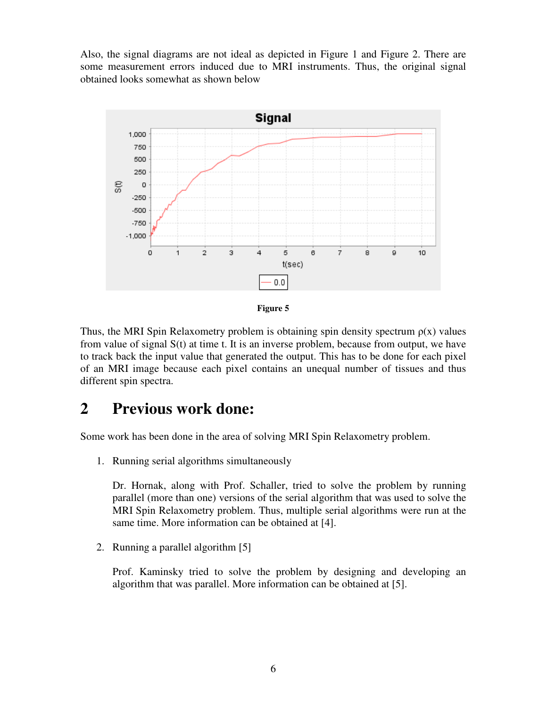Also, the signal diagrams are not ideal as depicted in Figure 1 and Figure 2. There are some measurement errors induced due to MRI instruments. Thus, the original signal obtained looks somewhat as shown below



**Figure 5** 

Thus, the MRI Spin Relaxometry problem is obtaining spin density spectrum  $\rho(x)$  values from value of signal S(t) at time t. It is an inverse problem, because from output, we have to track back the input value that generated the output. This has to be done for each pixel of an MRI image because each pixel contains an unequal number of tissues and thus different spin spectra.

### **2 Previous work done:**

Some work has been done in the area of solving MRI Spin Relaxometry problem.

1. Running serial algorithms simultaneously

Dr. Hornak, along with Prof. Schaller, tried to solve the problem by running parallel (more than one) versions of the serial algorithm that was used to solve the MRI Spin Relaxometry problem. Thus, multiple serial algorithms were run at the same time. More information can be obtained at [4].

2. Running a parallel algorithm [5]

Prof. Kaminsky tried to solve the problem by designing and developing an algorithm that was parallel. More information can be obtained at [5].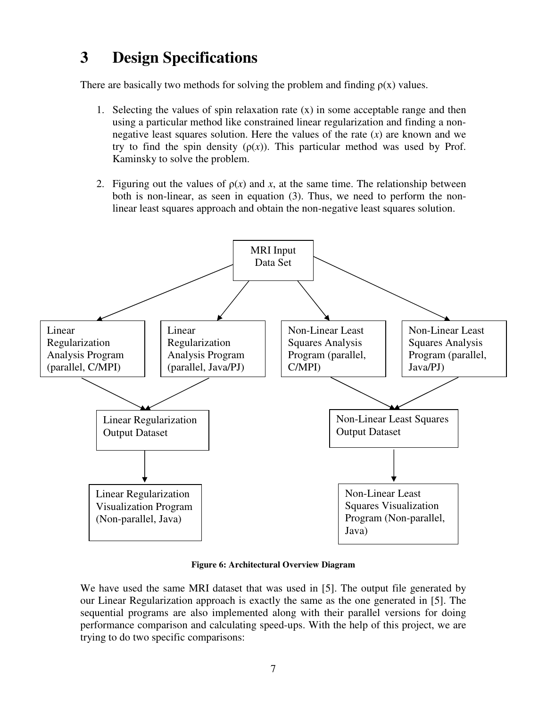# **3 Design Specifications**

There are basically two methods for solving the problem and finding  $\rho(x)$  values.

- 1. Selecting the values of spin relaxation rate  $(x)$  in some acceptable range and then using a particular method like constrained linear regularization and finding a nonnegative least squares solution. Here the values of the rate  $(x)$  are known and we try to find the spin density  $(p(x))$ . This particular method was used by Prof. Kaminsky to solve the problem.
- 2. Figuring out the values of  $p(x)$  and x, at the same time. The relationship between both is non-linear, as seen in equation (3). Thus, we need to perform the nonlinear least squares approach and obtain the non-negative least squares solution.



**Figure 6: Architectural Overview Diagram** 

We have used the same MRI dataset that was used in [5]. The output file generated by our Linear Regularization approach is exactly the same as the one generated in [5]. The sequential programs are also implemented along with their parallel versions for doing performance comparison and calculating speed-ups. With the help of this project, we are trying to do two specific comparisons: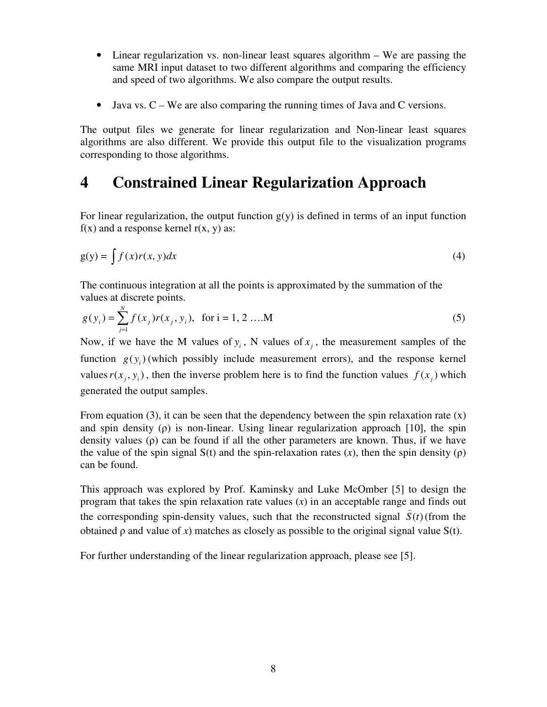- Linear regularization vs. non-linear least squares algorithm We are passing the same MRI input dataset to two different algorithms and comparing the efficiency and speed of two algorithms. We also compare the output results.
- Java vs.  $C We$  are also comparing the running times of Java and C versions.

The output files we generate for linear regularization and Non-linear least squares algorithms are also different. We provide this output file to the visualization programs corresponding to those algorithms.

## **4 Constrained Linear Regularization Approach**

For linear regularization, the output function  $g(y)$  is defined in terms of an input function  $f(x)$  and a response kernel  $r(x, y)$  as:

$$
g(y) = \int f(x)r(x, y)dx
$$
 (4)

The continuous integration at all the points is approximated by the summation of the values at discrete points.

$$
g(y_i) = \sum_{j=1}^{N} f(x_j) r(x_j, y_i), \text{ for } i = 1, 2 \dots M
$$
 (5)

Now, if we have the M values of  $y_i$ , N values of  $x_j$ , the measurement samples of the function  $g(y_i)$  (which possibly include measurement errors), and the response kernel values  $r(x_j, y_i)$ , then the inverse problem here is to find the function values  $f(x_j)$  which generated the output samples.

From equation (3), it can be seen that the dependency between the spin relaxation rate  $(x)$ and spin density  $(\rho)$  is non-linear. Using linear regularization approach [10], the spin density values ( $\rho$ ) can be found if all the other parameters are known. Thus, if we have the value of the spin signal  $S(t)$  and the spin-relaxation rates  $(x)$ , then the spin density  $(\rho)$ can be found.

This approach was explored by Prof. Kaminsky and Luke McOmber [5] to design the program that takes the spin relaxation rate values  $(x)$  in an acceptable range and finds out the corresponding spin-density values, such that the reconstructed signal  $S(t)$  (from the obtained  $\rho$  and value of  $x$ ) matches as closely as possible to the original signal value  $S(t)$ .

For further understanding of the linear regularization approach, please see [5].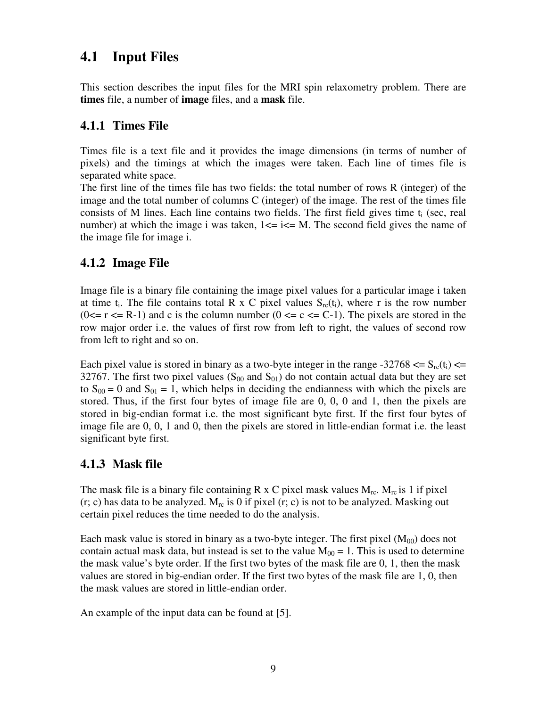### **4.1 Input Files**

This section describes the input files for the MRI spin relaxometry problem. There are **times** file, a number of **image** files, and a **mask** file.

#### **4.1.1 Times File**

Times file is a text file and it provides the image dimensions (in terms of number of pixels) and the timings at which the images were taken. Each line of times file is separated white space.

The first line of the times file has two fields: the total number of rows R (integer) of the image and the total number of columns C (integer) of the image. The rest of the times file consists of M lines. Each line contains two fields. The first field gives time  $t_i$  (sec, real number) at which the image i was taken,  $1 \le i \le M$ . The second field gives the name of the image file for image i.

### **4.1.2 Image File**

Image file is a binary file containing the image pixel values for a particular image i taken at time  $t_i$ . The file contains total R x C pixel values  $S_{rc}(t_i)$ , where r is the row number  $(0 \le r \le R-1)$  and c is the column number  $(0 \le r \le C-1)$ . The pixels are stored in the row major order i.e. the values of first row from left to right, the values of second row from left to right and so on.

Each pixel value is stored in binary as a two-byte integer in the range -32768  $\leq S_{\rm rc}(t_i) \leq$ 32767. The first two pixel values ( $S_{00}$  and  $S_{01}$ ) do not contain actual data but they are set to  $S_{00} = 0$  and  $S_{01} = 1$ , which helps in deciding the endianness with which the pixels are stored. Thus, if the first four bytes of image file are 0, 0, 0 and 1, then the pixels are stored in big-endian format i.e. the most significant byte first. If the first four bytes of image file are 0, 0, 1 and 0, then the pixels are stored in little-endian format i.e. the least significant byte first.

#### **4.1.3 Mask file**

The mask file is a binary file containing R x C pixel mask values  $M_{rc}$ .  $M_{rc}$  is 1 if pixel  $(r; c)$  has data to be analyzed. M<sub>rc</sub> is 0 if pixel  $(r; c)$  is not to be analyzed. Masking out certain pixel reduces the time needed to do the analysis.

Each mask value is stored in binary as a two-byte integer. The first pixel  $(M_{00})$  does not contain actual mask data, but instead is set to the value  $M_{00} = 1$ . This is used to determine the mask value's byte order. If the first two bytes of the mask file are 0, 1, then the mask values are stored in big-endian order. If the first two bytes of the mask file are 1, 0, then the mask values are stored in little-endian order.

An example of the input data can be found at [5].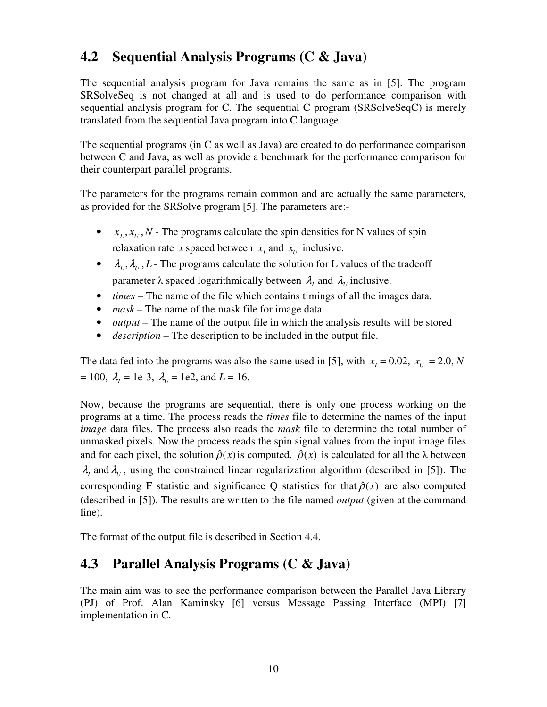### **4.2 Sequential Analysis Programs (C & Java)**

The sequential analysis program for Java remains the same as in [5]. The program SRSolveSeq is not changed at all and is used to do performance comparison with sequential analysis program for C. The sequential C program (SRSolveSeqC) is merely translated from the sequential Java program into C language.

The sequential programs (in C as well as Java) are created to do performance comparison between C and Java, as well as provide a benchmark for the performance comparison for their counterpart parallel programs.

The parameters for the programs remain common and are actually the same parameters, as provided for the SRSolve program [5]. The parameters are:-

- $x_L, x_U, N$  The programs calculate the spin densities for N values of spin relaxation rate *x* spaced between  $x_L$  and  $x_U$  inclusive.
- $\lambda_L, \lambda_U, L$  The programs calculate the solution for L values of the tradeoff parameter  $\lambda$  spaced logarithmically between  $\lambda_L$  and  $\lambda_U$  inclusive.
- *times* The name of the file which contains timings of all the images data.
- *mask* The name of the mask file for image data.
- *output* The name of the output file in which the analysis results will be stored
- *description* The description to be included in the output file.

The data fed into the programs was also the same used in [5], with  $x_L = 0.02$ ,  $x_U = 2.0$ , N  $= 100$ ,  $\lambda_L = 1e^{-3}$ ,  $\lambda_U = 1e^{2}$ , and  $L = 16$ .

Now, because the programs are sequential, there is only one process working on the programs at a time. The process reads the *times* file to determine the names of the input *image* data files. The process also reads the *mask* file to determine the total number of unmasked pixels. Now the process reads the spin signal values from the input image files and for each pixel, the solution  $\hat{\rho}(x)$  is computed.  $\hat{\rho}(x)$  is calculated for all the  $\lambda$  between  $\lambda_L$  and  $\lambda_U$ , using the constrained linear regularization algorithm (described in [5]). The corresponding F statistic and significance Q statistics for that  $\hat{\rho}(x)$  are also computed (described in [5]). The results are written to the file named *output* (given at the command line).

The format of the output file is described in Section 4.4.

### **4.3 Parallel Analysis Programs (C & Java)**

The main aim was to see the performance comparison between the Parallel Java Library (PJ) of Prof. Alan Kaminsky [6] versus Message Passing Interface (MPI) [7] implementation in C.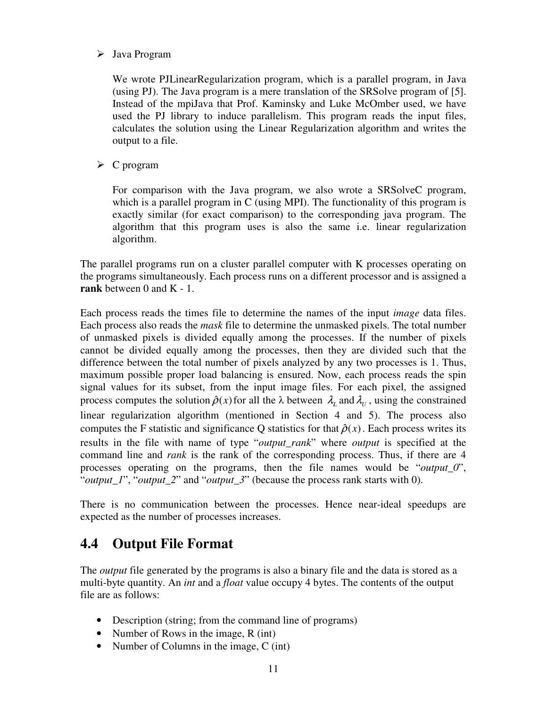#### Java Program

We wrote PJLinearRegularization program, which is a parallel program, in Java (using PJ). The Java program is a mere translation of the SRSolve program of [5]. Instead of the mpiJava that Prof. Kaminsky and Luke McOmber used, we have used the PJ library to induce parallelism. This program reads the input files, calculates the solution using the Linear Regularization algorithm and writes the output to a file.

 $\triangleright$  C program

For comparison with the Java program, we also wrote a SRSolveC program, which is a parallel program in C (using MPI). The functionality of this program is exactly similar (for exact comparison) to the corresponding java program. The algorithm that this program uses is also the same i.e. linear regularization algorithm.

The parallel programs run on a cluster parallel computer with K processes operating on the programs simultaneously. Each process runs on a different processor and is assigned a **rank** between 0 and K - 1.

Each process reads the times file to determine the names of the input *image* data files. Each process also reads the *mask* file to determine the unmasked pixels. The total number of unmasked pixels is divided equally among the processes. If the number of pixels cannot be divided equally among the processes, then they are divided such that the difference between the total number of pixels analyzed by any two processes is 1. Thus, maximum possible proper load balancing is ensured. Now, each process reads the spin signal values for its subset, from the input image files. For each pixel, the assigned process computes the solution  $\hat{\rho}(x)$  for all the  $\lambda$  between  $\lambda_L$  and  $\lambda_U$ , using the constrained linear regularization algorithm (mentioned in Section 4 and 5). The process also computes the F statistic and significance Q statistics for that  $\hat{\rho}(x)$ . Each process writes its results in the file with name of type "*output\_rank*" where *output* is specified at the command line and *rank* is the rank of the corresponding process. Thus, if there are 4 processes operating on the programs, then the file names would be "*output\_0*", "*output\_1*", "*output\_2*" and "*output\_3*" (because the process rank starts with 0).

There is no communication between the processes. Hence near-ideal speedups are expected as the number of processes increases.

### **4.4 Output File Format**

The *output* file generated by the programs is also a binary file and the data is stored as a multi-byte quantity. An *int* and a *float* value occupy 4 bytes. The contents of the output file are as follows:

- Description (string; from the command line of programs)
- Number of Rows in the image, R (int)
- Number of Columns in the image, C (int)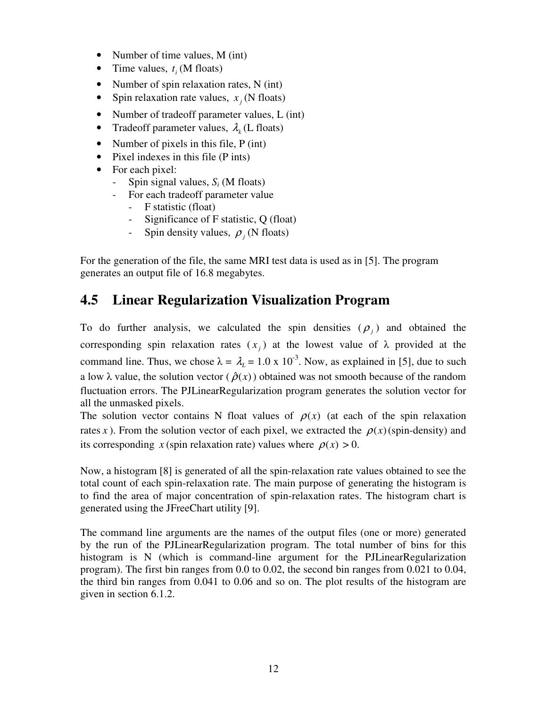- Number of time values, M (int)
- Time values,  $t_i$  (M floats)
- Number of spin relaxation rates, N (int)
- Spin relaxation rate values,  $x_j$  (N floats)
- Number of tradeoff parameter values, L (int)
- Tradeoff parameter values,  $\lambda_k$  (L floats)
- Number of pixels in this file, P (int)
- Pixel indexes in this file (P ints)
- For each pixel:
	- Spin signal values,  $S_i$  (M floats)
	- For each tradeoff parameter value
		- F statistic (float)
		- Significance of F statistic, Q (float)
		- Spin density values,  $\rho_j$  (N floats)

For the generation of the file, the same MRI test data is used as in [5]. The program generates an output file of 16.8 megabytes.

### **4.5 Linear Regularization Visualization Program**

To do further analysis, we calculated the spin densities  $(\rho_j)$  and obtained the corresponding spin relaxation rates  $(x_j)$  at the lowest value of  $\lambda$  provided at the command line. Thus, we chose  $\lambda = \lambda_L = 1.0 \times 10^{-3}$ . Now, as explained in [5], due to such a low  $\lambda$  value, the solution vector ( $\hat{\rho}(x)$ ) obtained was not smooth because of the random fluctuation errors. The PJLinearRegularization program generates the solution vector for all the unmasked pixels.

The solution vector contains N float values of  $\rho(x)$  (at each of the spin relaxation rates *x*). From the solution vector of each pixel, we extracted the  $\rho(x)$  (spin-density) and its corresponding *x* (spin relaxation rate) values where  $\rho(x) > 0$ .

Now, a histogram [8] is generated of all the spin-relaxation rate values obtained to see the total count of each spin-relaxation rate. The main purpose of generating the histogram is to find the area of major concentration of spin-relaxation rates. The histogram chart is generated using the JFreeChart utility [9].

The command line arguments are the names of the output files (one or more) generated by the run of the PJLinearRegularization program. The total number of bins for this histogram is N (which is command-line argument for the PJLinearRegularization program). The first bin ranges from 0.0 to 0.02, the second bin ranges from 0.021 to 0.04, the third bin ranges from 0.041 to 0.06 and so on. The plot results of the histogram are given in section 6.1.2.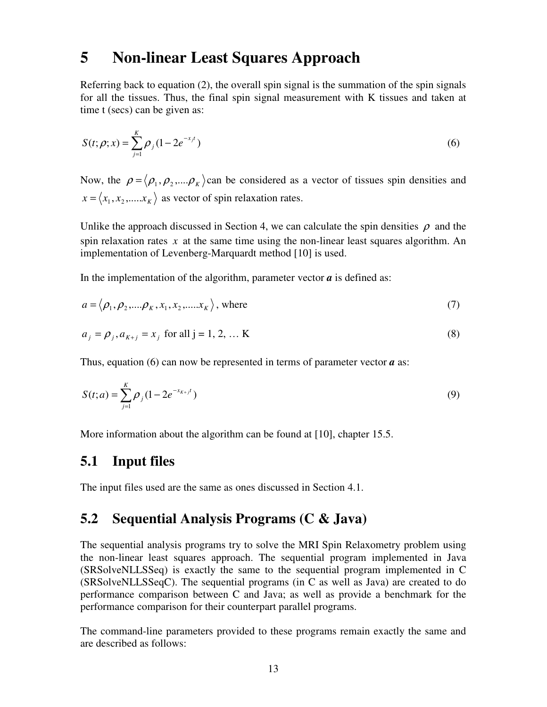### **5 Non-linear Least Squares Approach**

Referring back to equation (2), the overall spin signal is the summation of the spin signals for all the tissues. Thus, the final spin signal measurement with K tissues and taken at time t (secs) can be given as:

$$
S(t; \rho; x) = \sum_{j=1}^{K} \rho_j (1 - 2e^{-x_j t})
$$
\n(6)

Now, the  $\rho = \langle \rho_1, \rho_2, ..., \rho_K \rangle$  can be considered as a vector of tissues spin densities and  $x = \langle x_1, x_2, \dots, x_k \rangle$  as vector of spin relaxation rates.

Unlike the approach discussed in Section 4, we can calculate the spin densities  $\rho$  and the spin relaxation rates  $x$  at the same time using the non-linear least squares algorithm. An implementation of Levenberg-Marquardt method [10] is used.

In the implementation of the algorithm, parameter vector  $\boldsymbol{a}$  is defined as:

$$
a = \langle \rho_1, \rho_2, \dots, \rho_K, x_1, x_2, \dots, x_K \rangle, \text{ where } \tag{7}
$$

$$
a_j = \rho_j, a_{K+j} = x_j \text{ for all } j = 1, 2, ... K
$$
 (8)

Thus, equation (6) can now be represented in terms of parameter vector  $\boldsymbol{a}$  as:

$$
S(t; a) = \sum_{j=1}^{K} \rho_j (1 - 2e^{-x_{K+j}t})
$$
\n(9)

More information about the algorithm can be found at [10], chapter 15.5.

#### **5.1 Input files**

The input files used are the same as ones discussed in Section 4.1.

### **5.2 Sequential Analysis Programs (C & Java)**

The sequential analysis programs try to solve the MRI Spin Relaxometry problem using the non-linear least squares approach. The sequential program implemented in Java (SRSolveNLLSSeq) is exactly the same to the sequential program implemented in C (SRSolveNLLSSeqC). The sequential programs (in C as well as Java) are created to do performance comparison between C and Java; as well as provide a benchmark for the performance comparison for their counterpart parallel programs.

The command-line parameters provided to these programs remain exactly the same and are described as follows: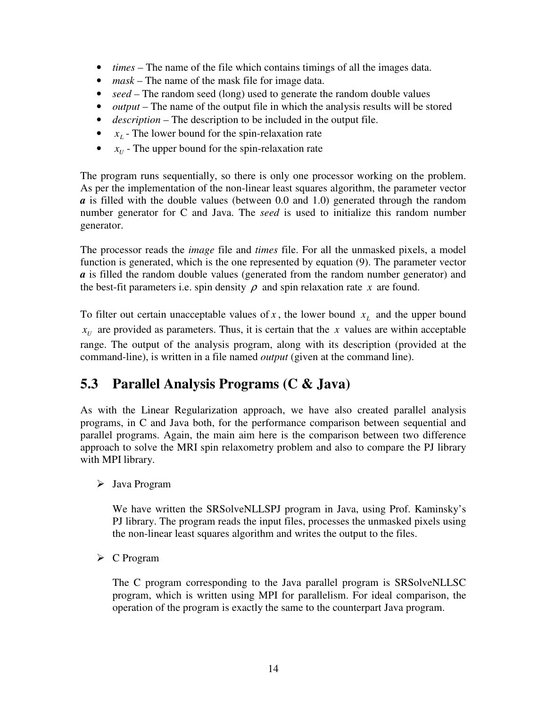- *times* The name of the file which contains timings of all the images data.
- *mask* The name of the mask file for image data.
- *seed* The random seed (long) used to generate the random double values
- *output* The name of the output file in which the analysis results will be stored
- *description* The description to be included in the output file.
- $x_L$  The lower bound for the spin-relaxation rate
- $x_U$  The upper bound for the spin-relaxation rate

The program runs sequentially, so there is only one processor working on the problem. As per the implementation of the non-linear least squares algorithm, the parameter vector *a* is filled with the double values (between 0.0 and 1.0) generated through the random number generator for C and Java. The *seed* is used to initialize this random number generator.

The processor reads the *image* file and *times* file. For all the unmasked pixels, a model function is generated, which is the one represented by equation (9). The parameter vector *a* is filled the random double values (generated from the random number generator) and the best-fit parameters i.e. spin density  $\rho$  and spin relaxation rate x are found.

To filter out certain unacceptable values of  $x$ , the lower bound  $x<sub>L</sub>$  and the upper bound  $x_U$  are provided as parameters. Thus, it is certain that the *x* values are within acceptable range. The output of the analysis program, along with its description (provided at the command-line), is written in a file named *output* (given at the command line).

### **5.3 Parallel Analysis Programs (C & Java)**

As with the Linear Regularization approach, we have also created parallel analysis programs, in C and Java both, for the performance comparison between sequential and parallel programs. Again, the main aim here is the comparison between two difference approach to solve the MRI spin relaxometry problem and also to compare the PJ library with MPI library.

Java Program

We have written the SRSolveNLLSPJ program in Java, using Prof. Kaminsky's PJ library. The program reads the input files, processes the unmasked pixels using the non-linear least squares algorithm and writes the output to the files.

 $\triangleright$  C Program

The C program corresponding to the Java parallel program is SRSolveNLLSC program, which is written using MPI for parallelism. For ideal comparison, the operation of the program is exactly the same to the counterpart Java program.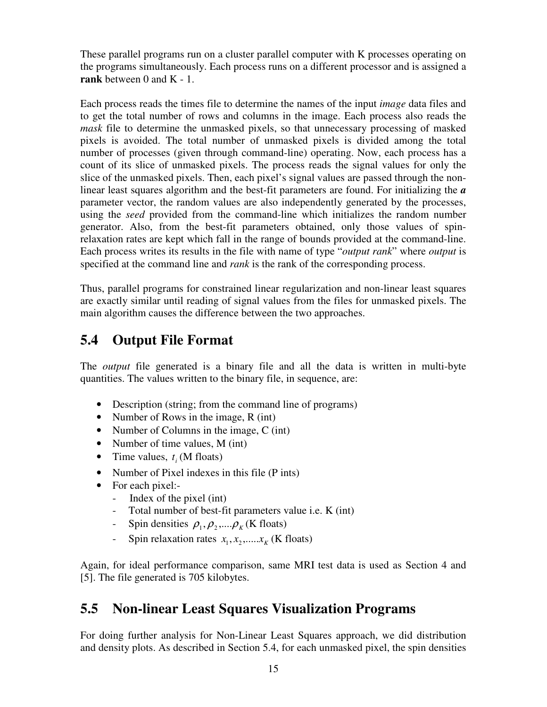These parallel programs run on a cluster parallel computer with K processes operating on the programs simultaneously. Each process runs on a different processor and is assigned a **rank** between 0 and K - 1.

Each process reads the times file to determine the names of the input *image* data files and to get the total number of rows and columns in the image. Each process also reads the *mask* file to determine the unmasked pixels, so that unnecessary processing of masked pixels is avoided. The total number of unmasked pixels is divided among the total number of processes (given through command-line) operating. Now, each process has a count of its slice of unmasked pixels. The process reads the signal values for only the slice of the unmasked pixels. Then, each pixel's signal values are passed through the nonlinear least squares algorithm and the best-fit parameters are found. For initializing the *a* parameter vector, the random values are also independently generated by the processes, using the *seed* provided from the command-line which initializes the random number generator. Also, from the best-fit parameters obtained, only those values of spinrelaxation rates are kept which fall in the range of bounds provided at the command-line. Each process writes its results in the file with name of type "*output rank*" where *output* is specified at the command line and *rank* is the rank of the corresponding process.

Thus, parallel programs for constrained linear regularization and non-linear least squares are exactly similar until reading of signal values from the files for unmasked pixels. The main algorithm causes the difference between the two approaches.

### **5.4 Output File Format**

The *output* file generated is a binary file and all the data is written in multi-byte quantities. The values written to the binary file, in sequence, are:

- Description (string; from the command line of programs)
- Number of Rows in the image, R (int)
- Number of Columns in the image, C (int)
- Number of time values, M (int)
- Time values,  $t_i$  (M floats)
- Number of Pixel indexes in this file (P ints)
- For each pixel:-
	- Index of the pixel (int)
	- Total number of best-fit parameters value i.e. K (int)
	- Spin densities  $\rho_1, \rho_2, ..., \rho_K$  (K floats)
	- Spin relaxation rates  $x_1, x_2, \ldots, x_k$  (K floats)

Again, for ideal performance comparison, same MRI test data is used as Section 4 and [5]. The file generated is 705 kilobytes.

### **5.5 Non-linear Least Squares Visualization Programs**

For doing further analysis for Non-Linear Least Squares approach, we did distribution and density plots. As described in Section 5.4, for each unmasked pixel, the spin densities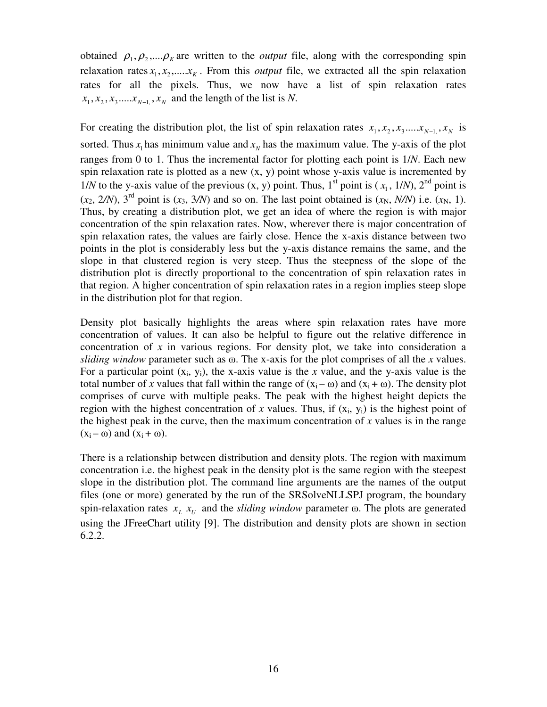obtained  $\rho_1, \rho_2, ..., \rho_k$  are written to the *output* file, along with the corresponding spin relaxation rates  $x_1, x_2, \ldots, x_k$ . From this *output* file, we extracted all the spin relaxation rates for all the pixels. Thus, we now have a list of spin relaxation rates  $x_1, x_2, x_3, \dots, x_{N-1}, x_N$  and the length of the list is *N*.

For creating the distribution plot, the list of spin relaxation rates  $x_1, x_2, x_3, \dots, x_{N-1}, x_N$  is sorted. Thus  $x_1$  has minimum value and  $x_N$  has the maximum value. The y-axis of the plot ranges from 0 to 1. Thus the incremental factor for plotting each point is 1/*N*. Each new spin relaxation rate is plotted as a new (x, y) point whose y-axis value is incremented by 1/*N* to the y-axis value of the previous  $(x, y)$  point. Thus, 1<sup>st</sup> point is  $(x_1, 1/N)$ , 2<sup>nd</sup> point is  $(x_2, 2/N)$ , 3<sup>rd</sup> point is  $(x_3, 3/N)$  and so on. The last point obtained is  $(x_N, N/N)$  i.e.  $(x_N, 1)$ . Thus, by creating a distribution plot, we get an idea of where the region is with major concentration of the spin relaxation rates. Now, wherever there is major concentration of spin relaxation rates, the values are fairly close. Hence the x-axis distance between two points in the plot is considerably less but the y-axis distance remains the same, and the slope in that clustered region is very steep. Thus the steepness of the slope of the distribution plot is directly proportional to the concentration of spin relaxation rates in that region. A higher concentration of spin relaxation rates in a region implies steep slope in the distribution plot for that region.

Density plot basically highlights the areas where spin relaxation rates have more concentration of values. It can also be helpful to figure out the relative difference in concentration of *x* in various regions. For density plot, we take into consideration a *sliding window* parameter such as ω. The x-axis for the plot comprises of all the *x* values. For a particular point  $(x_i, y_i)$ , the x-axis value is the x value, and the y-axis value is the total number of x values that fall within the range of  $(x_i - \omega)$  and  $(x_i + \omega)$ . The density plot comprises of curve with multiple peaks. The peak with the highest height depicts the region with the highest concentration of  $x$  values. Thus, if  $(x_i, y_i)$  is the highest point of the highest peak in the curve, then the maximum concentration of *x* values is in the range  $(x_i - \omega)$  and  $(x_i + \omega)$ .

There is a relationship between distribution and density plots. The region with maximum concentration i.e. the highest peak in the density plot is the same region with the steepest slope in the distribution plot. The command line arguments are the names of the output files (one or more) generated by the run of the SRSolveNLLSPJ program, the boundary spin-relaxation rates  $x_L x_U$  and the *sliding window* parameter  $\omega$ . The plots are generated using the JFreeChart utility [9]. The distribution and density plots are shown in section 6.2.2.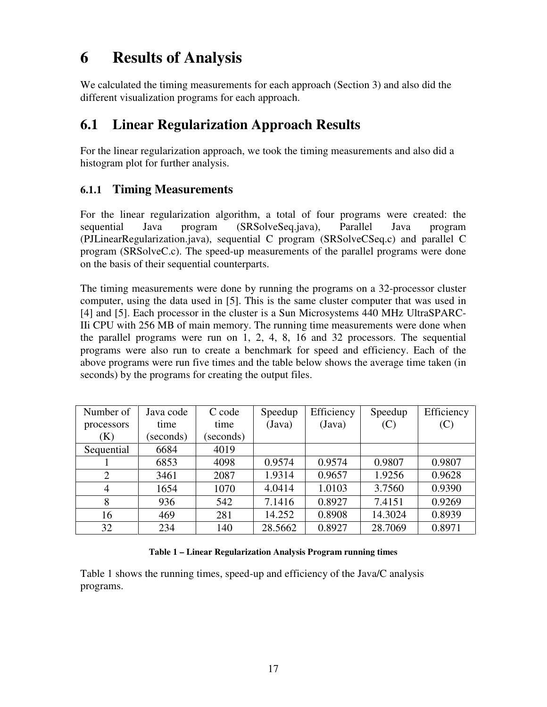# **6 Results of Analysis**

We calculated the timing measurements for each approach (Section 3) and also did the different visualization programs for each approach.

### **6.1 Linear Regularization Approach Results**

For the linear regularization approach, we took the timing measurements and also did a histogram plot for further analysis.

### **6.1.1 Timing Measurements**

For the linear regularization algorithm, a total of four programs were created: the sequential Java program (SRSolveSeq.java), Parallel Java program (PJLinearRegularization.java), sequential C program (SRSolveCSeq.c) and parallel C program (SRSolveC.c). The speed-up measurements of the parallel programs were done on the basis of their sequential counterparts.

The timing measurements were done by running the programs on a 32-processor cluster computer, using the data used in [5]. This is the same cluster computer that was used in [4] and [5]. Each processor in the cluster is a Sun Microsystems 440 MHz UltraSPARC-IIi CPU with 256 MB of main memory. The running time measurements were done when the parallel programs were run on 1, 2, 4, 8, 16 and 32 processors. The sequential programs were also run to create a benchmark for speed and efficiency. Each of the above programs were run five times and the table below shows the average time taken (in seconds) by the programs for creating the output files.

| Number of      | Java code | C code    | Speedup | Efficiency | Speedup | Efficiency |
|----------------|-----------|-----------|---------|------------|---------|------------|
| processors     | time      | time      | (Java)  | (Java)     | (C)     | (C)        |
| (K)            | (seconds) | (seconds) |         |            |         |            |
| Sequential     | 6684      | 4019      |         |            |         |            |
|                | 6853      | 4098      | 0.9574  | 0.9574     | 0.9807  | 0.9807     |
| $\overline{2}$ | 3461      | 2087      | 1.9314  | 0.9657     | 1.9256  | 0.9628     |
| $\overline{4}$ | 1654      | 1070      | 4.0414  | 1.0103     | 3.7560  | 0.9390     |
| 8              | 936       | 542       | 7.1416  | 0.8927     | 7.4151  | 0.9269     |
| 16             | 469       | 281       | 14.252  | 0.8908     | 14.3024 | 0.8939     |
| 32             | 234       | 140       | 28.5662 | 0.8927     | 28.7069 | 0.8971     |

#### **Table 1 – Linear Regularization Analysis Program running times**

Table 1 shows the running times, speed-up and efficiency of the Java/C analysis programs.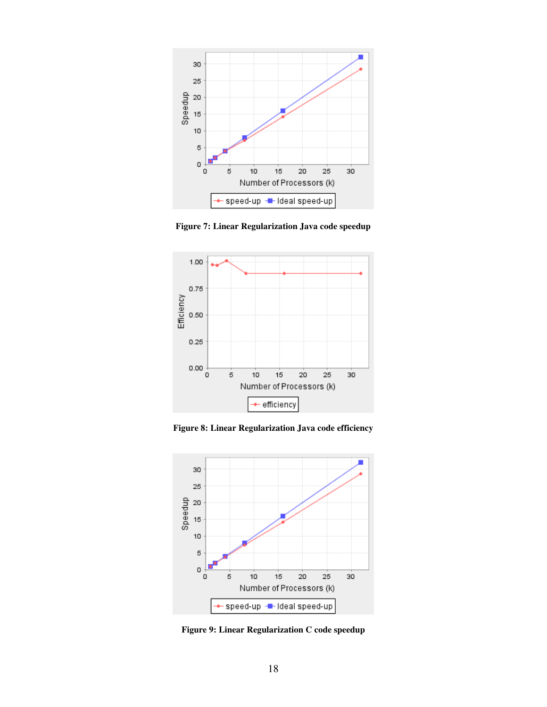

**Figure 7: Linear Regularization Java code speedup** 



**Figure 8: Linear Regularization Java code efficiency** 



**Figure 9: Linear Regularization C code speedup**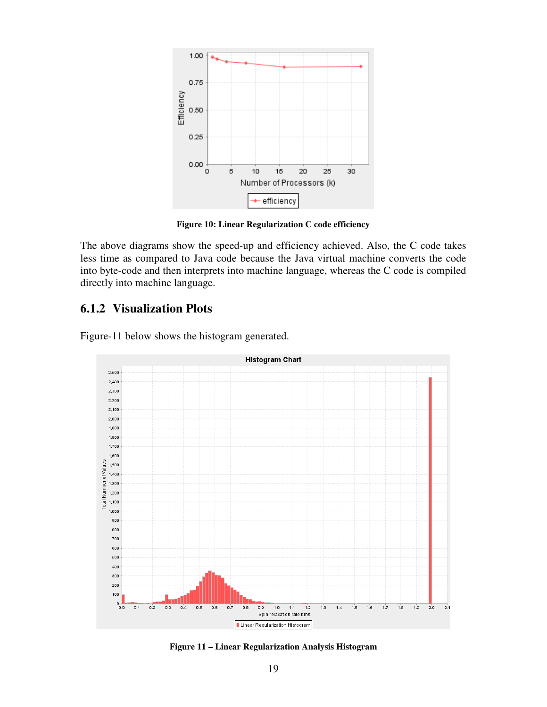

**Figure 10: Linear Regularization C code efficiency** 

The above diagrams show the speed-up and efficiency achieved. Also, the C code takes less time as compared to Java code because the Java virtual machine converts the code into byte-code and then interprets into machine language, whereas the C code is compiled directly into machine language.

#### **6.1.2 Visualization Plots**

Figure-11 below shows the histogram generated.



**Figure 11 – Linear Regularization Analysis Histogram**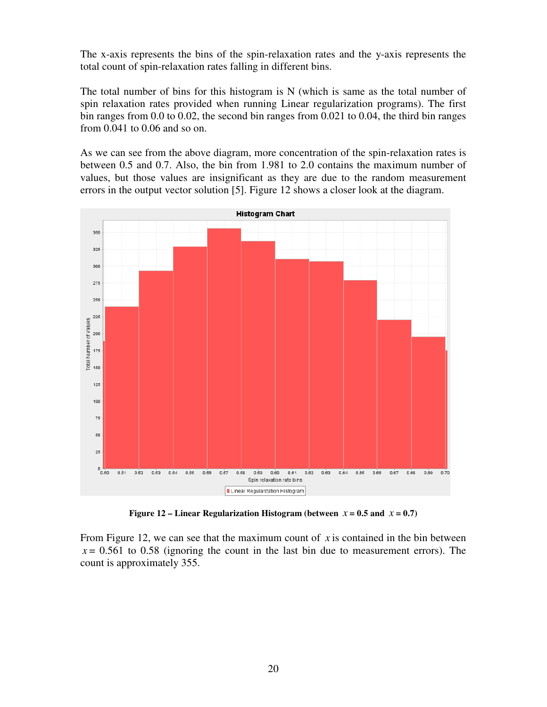The x-axis represents the bins of the spin-relaxation rates and the y-axis represents the total count of spin-relaxation rates falling in different bins.

The total number of bins for this histogram is N (which is same as the total number of spin relaxation rates provided when running Linear regularization programs). The first bin ranges from 0.0 to 0.02, the second bin ranges from 0.021 to 0.04, the third bin ranges from 0.041 to 0.06 and so on.

As we can see from the above diagram, more concentration of the spin-relaxation rates is between 0.5 and 0.7. Also, the bin from 1.981 to 2.0 contains the maximum number of values, but those values are insignificant as they are due to the random measurement errors in the output vector solution [5]. Figure 12 shows a closer look at the diagram.



**Figure 12 – Linear Regularization Histogram (between**  $x = 0.5$  **and**  $x = 0.7$ **)** 

From Figure 12, we can see that the maximum count of *x* is contained in the bin between  $x = 0.561$  to 0.58 (ignoring the count in the last bin due to measurement errors). The count is approximately 355.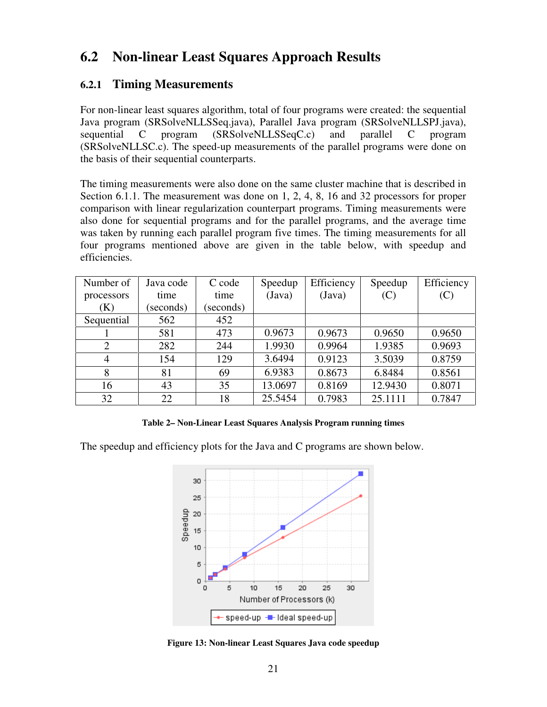### **6.2 Non-linear Least Squares Approach Results**

#### **6.2.1 Timing Measurements**

For non-linear least squares algorithm, total of four programs were created: the sequential Java program (SRSolveNLLSSeq.java), Parallel Java program (SRSolveNLLSPJ.java), sequential C program (SRSolveNLLSSeqC.c) and parallel C program (SRSolveNLLSC.c). The speed-up measurements of the parallel programs were done on the basis of their sequential counterparts.

The timing measurements were also done on the same cluster machine that is described in Section 6.1.1. The measurement was done on 1, 2, 4, 8, 16 and 32 processors for proper comparison with linear regularization counterpart programs. Timing measurements were also done for sequential programs and for the parallel programs, and the average time was taken by running each parallel program five times. The timing measurements for all four programs mentioned above are given in the table below, with speedup and efficiencies.

| Number of  | Java code | C code    | Speedup | Efficiency | Speedup | Efficiency |
|------------|-----------|-----------|---------|------------|---------|------------|
| processors | time      | time      | (Java)  | (Java)     | (C)     | (C)        |
| (K)        | (seconds) | (seconds) |         |            |         |            |
| Sequential | 562       | 452       |         |            |         |            |
|            | 581       | 473       | 0.9673  | 0.9673     | 0.9650  | 0.9650     |
| 2          | 282       | 244       | 1.9930  | 0.9964     | 1.9385  | 0.9693     |
| 4          | 154       | 129       | 3.6494  | 0.9123     | 3.5039  | 0.8759     |
| 8          | 81        | 69        | 6.9383  | 0.8673     | 6.8484  | 0.8561     |
| 16         | 43        | 35        | 13.0697 | 0.8169     | 12.9430 | 0.8071     |
| 32         | 22        | 18        | 25.5454 | 0.7983     | 25.1111 | 0.7847     |

**Table 2– Non-Linear Least Squares Analysis Program running times** 

The speedup and efficiency plots for the Java and C programs are shown below.



**Figure 13: Non-linear Least Squares Java code speedup**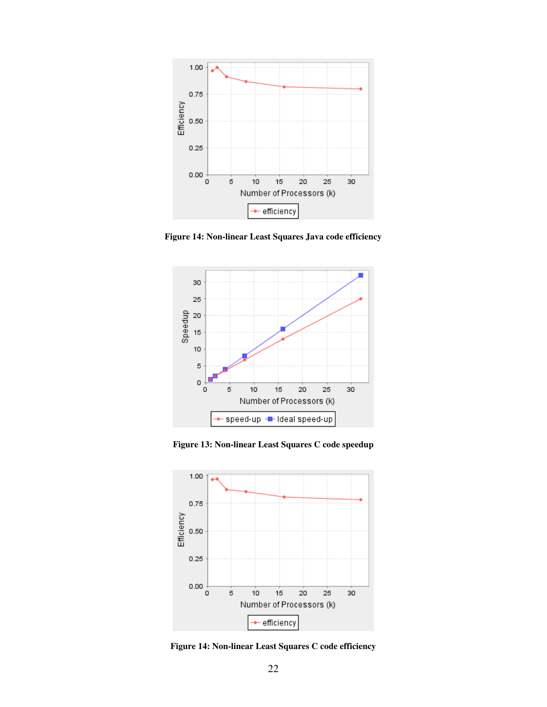

**Figure 14: Non-linear Least Squares Java code efficiency** 



**Figure 13: Non-linear Least Squares C code speedup** 



**Figure 14: Non-linear Least Squares C code efficiency**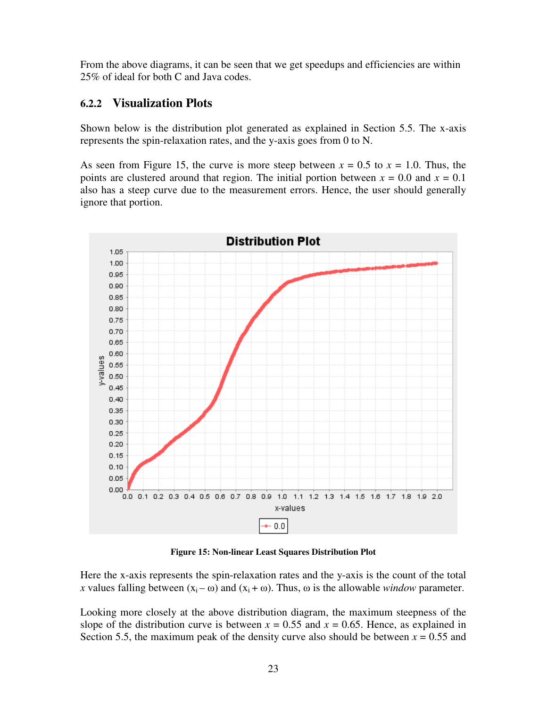From the above diagrams, it can be seen that we get speedups and efficiencies are within 25% of ideal for both C and Java codes.

#### **6.2.2 Visualization Plots**

Shown below is the distribution plot generated as explained in Section 5.5. The x-axis represents the spin-relaxation rates, and the y-axis goes from 0 to N.

As seen from Figure 15, the curve is more steep between  $x = 0.5$  to  $x = 1.0$ . Thus, the points are clustered around that region. The initial portion between  $x = 0.0$  and  $x = 0.1$ also has a steep curve due to the measurement errors. Hence, the user should generally ignore that portion.



**Figure 15: Non-linear Least Squares Distribution Plot** 

Here the x-axis represents the spin-relaxation rates and the y-axis is the count of the total *x* values falling between  $(x_i - \omega)$  and  $(x_i + \omega)$ . Thus,  $\omega$  is the allowable *window* parameter.

Looking more closely at the above distribution diagram, the maximum steepness of the slope of the distribution curve is between  $x = 0.55$  and  $x = 0.65$ . Hence, as explained in Section 5.5, the maximum peak of the density curve also should be between  $x = 0.55$  and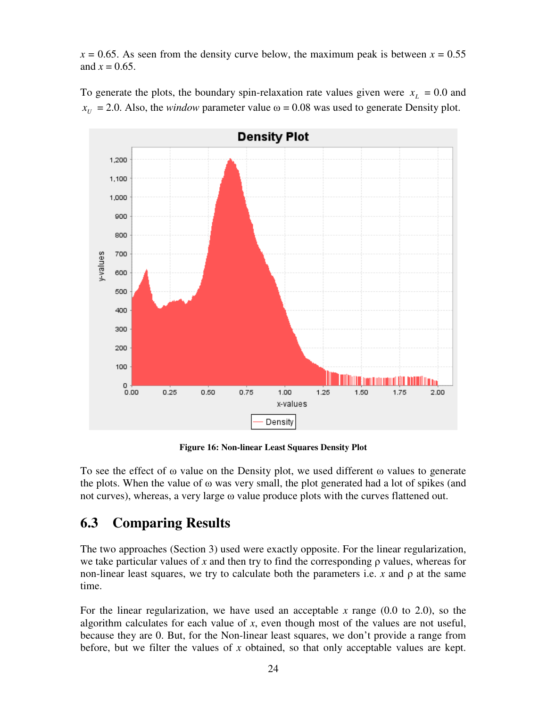$x = 0.65$ . As seen from the density curve below, the maximum peak is between  $x = 0.55$ and  $x = 0.65$ .

To generate the plots, the boundary spin-relaxation rate values given were  $x_L = 0.0$  and  $x_U$  = 2.0. Also, the *window* parameter value  $\omega$  = 0.08 was used to generate Density plot.



**Figure 16: Non-linear Least Squares Density Plot** 

To see the effect of ω value on the Density plot, we used different ω values to generate the plots. When the value of ω was very small, the plot generated had a lot of spikes (and not curves), whereas, a very large ω value produce plots with the curves flattened out.

### **6.3 Comparing Results**

The two approaches (Section 3) used were exactly opposite. For the linear regularization, we take particular values of *x* and then try to find the corresponding ρ values, whereas for non-linear least squares, we try to calculate both the parameters i.e.  $x$  and  $\rho$  at the same time.

For the linear regularization, we have used an acceptable *x* range (0.0 to 2.0), so the algorithm calculates for each value of *x*, even though most of the values are not useful, because they are 0. But, for the Non-linear least squares, we don't provide a range from before, but we filter the values of *x* obtained, so that only acceptable values are kept.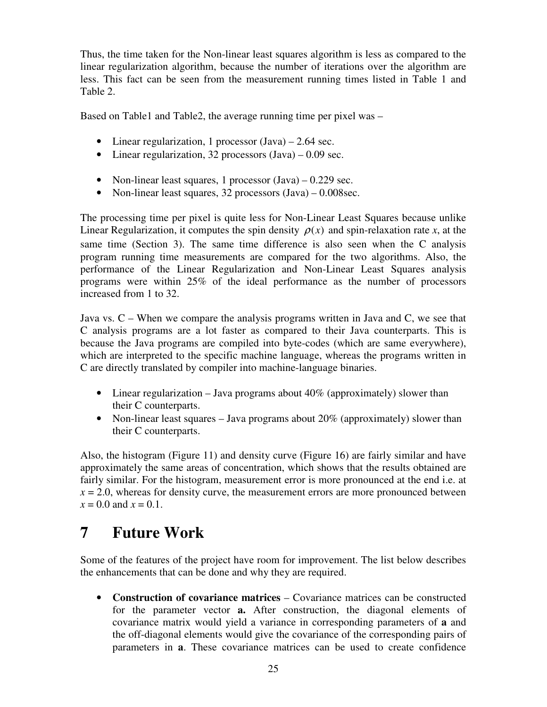Thus, the time taken for the Non-linear least squares algorithm is less as compared to the linear regularization algorithm, because the number of iterations over the algorithm are less. This fact can be seen from the measurement running times listed in Table 1 and Table 2.

Based on Table1 and Table2, the average running time per pixel was –

- Linear regularization, 1 processor  $(Java) 2.64$  sec.
- Linear regularization, 32 processors  $(Java) 0.09$  sec.
- Non-linear least squares, 1 processor  $(Java) 0.229$  sec.
- Non-linear least squares, 32 processors (Java) 0.008 sec.

The processing time per pixel is quite less for Non-Linear Least Squares because unlike Linear Regularization, it computes the spin density  $\rho(x)$  and spin-relaxation rate *x*, at the same time (Section 3). The same time difference is also seen when the C analysis program running time measurements are compared for the two algorithms. Also, the performance of the Linear Regularization and Non-Linear Least Squares analysis programs were within 25% of the ideal performance as the number of processors increased from 1 to 32.

Java vs. C – When we compare the analysis programs written in Java and C, we see that C analysis programs are a lot faster as compared to their Java counterparts. This is because the Java programs are compiled into byte-codes (which are same everywhere), which are interpreted to the specific machine language, whereas the programs written in C are directly translated by compiler into machine-language binaries.

- Linear regularization Java programs about 40% (approximately) slower than their C counterparts.
- Non-linear least squares Java programs about 20% (approximately) slower than their C counterparts.

Also, the histogram (Figure 11) and density curve (Figure 16) are fairly similar and have approximately the same areas of concentration, which shows that the results obtained are fairly similar. For the histogram, measurement error is more pronounced at the end i.e. at  $x = 2.0$ , whereas for density curve, the measurement errors are more pronounced between  $x = 0.0$  and  $x = 0.1$ .

# **7 Future Work**

Some of the features of the project have room for improvement. The list below describes the enhancements that can be done and why they are required.

• **Construction of covariance matrices** – Covariance matrices can be constructed for the parameter vector **a.** After construction, the diagonal elements of covariance matrix would yield a variance in corresponding parameters of **a** and the off-diagonal elements would give the covariance of the corresponding pairs of parameters in **a**. These covariance matrices can be used to create confidence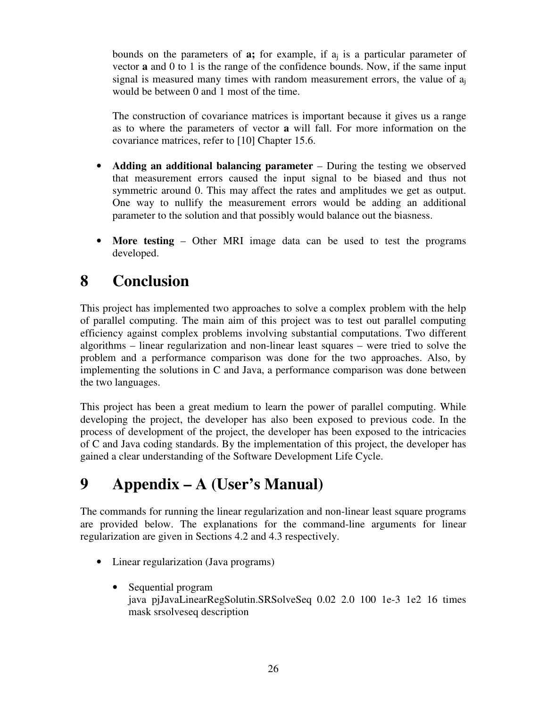bounds on the parameters of **a;** for example, if a<sup>j</sup> is a particular parameter of vector **a** and 0 to 1 is the range of the confidence bounds. Now, if the same input signal is measured many times with random measurement errors, the value of  $a_i$ would be between 0 and 1 most of the time.

The construction of covariance matrices is important because it gives us a range as to where the parameters of vector **a** will fall. For more information on the covariance matrices, refer to [10] Chapter 15.6.

- **Adding an additional balancing parameter** During the testing we observed that measurement errors caused the input signal to be biased and thus not symmetric around 0. This may affect the rates and amplitudes we get as output. One way to nullify the measurement errors would be adding an additional parameter to the solution and that possibly would balance out the biasness.
- **More testing**  Other MRI image data can be used to test the programs developed.

# **8 Conclusion**

This project has implemented two approaches to solve a complex problem with the help of parallel computing. The main aim of this project was to test out parallel computing efficiency against complex problems involving substantial computations. Two different algorithms – linear regularization and non-linear least squares – were tried to solve the problem and a performance comparison was done for the two approaches. Also, by implementing the solutions in C and Java, a performance comparison was done between the two languages.

This project has been a great medium to learn the power of parallel computing. While developing the project, the developer has also been exposed to previous code. In the process of development of the project, the developer has been exposed to the intricacies of C and Java coding standards. By the implementation of this project, the developer has gained a clear understanding of the Software Development Life Cycle.

# **9 Appendix – A (User's Manual)**

The commands for running the linear regularization and non-linear least square programs are provided below. The explanations for the command-line arguments for linear regularization are given in Sections 4.2 and 4.3 respectively.

- Linear regularization (Java programs)
	- Sequential program java pjJavaLinearRegSolutin.SRSolveSeq 0.02 2.0 100 1e-3 1e2 16 times mask srsolveseq description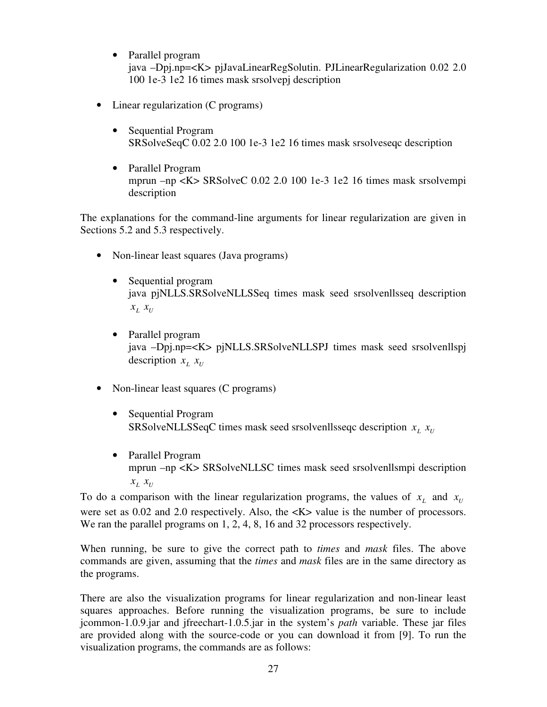- Parallel program java –Dpj.np=<K> pjJavaLinearRegSolutin. PJLinearRegularization 0.02 2.0 100 1e-3 1e2 16 times mask srsolvepj description
- Linear regularization (C programs)
	- Sequential Program SRSolveSeqC 0.02 2.0 100 1e-3 1e2 16 times mask srsolveseqc description
	- Parallel Program mprun –np <K> SRSolveC 0.02 2.0 100 1e-3 1e2 16 times mask srsolvempi description

The explanations for the command-line arguments for linear regularization are given in Sections 5.2 and 5.3 respectively.

- Non-linear least squares (Java programs)
	- Sequential program java pjNLLS.SRSolveNLLSSeq times mask seed srsolvenllsseq description  $x_L$   $x_U$
	- Parallel program java –Dpj.np=<K> pjNLLS.SRSolveNLLSPJ times mask seed srsolvenllspj description  $x_L x_U$
- Non-linear least squares (C programs)
	- Sequential Program SRSolveNLLSSeqC times mask seed srsolvenllsseqc description  $x_L x_U$
	- Parallel Program mprun –np <K> SRSolveNLLSC times mask seed srsolvenllsmpi description  $x_L$   $x_U$

To do a comparison with the linear regularization programs, the values of  $x_L$  and  $x_U$ were set as 0.02 and 2.0 respectively. Also, the  $\langle K \rangle$  value is the number of processors. We ran the parallel programs on 1, 2, 4, 8, 16 and 32 processors respectively.

When running, be sure to give the correct path to *times* and *mask* files. The above commands are given, assuming that the *times* and *mask* files are in the same directory as the programs.

There are also the visualization programs for linear regularization and non-linear least squares approaches. Before running the visualization programs, be sure to include jcommon-1.0.9.jar and jfreechart-1.0.5.jar in the system's *path* variable. These jar files are provided along with the source-code or you can download it from [9]. To run the visualization programs, the commands are as follows: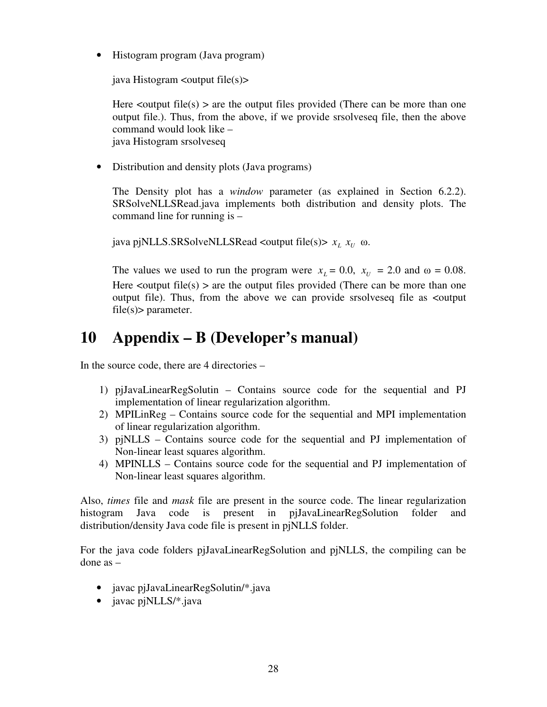• Histogram program (Java program)

java Histogram <a>

Here  $\langle$ output file $(s)$  > are the output files provided (There can be more than one output file.). Thus, from the above, if we provide srsolveseq file, then the above command would look like – java Histogram srsolveseq

• Distribution and density plots (Java programs)

The Density plot has a *window* parameter (as explained in Section 6.2.2). SRSolveNLLSRead.java implements both distribution and density plots. The command line for running is –

java pjNLLS.SRSolveNLLSRead < output file(s)  $x_L x_U$  ω.

The values we used to run the program were  $x_L = 0.0$ ,  $x_U = 2.0$  and  $\omega = 0.08$ . Here  $\langle$ output file(s)  $>$  are the output files provided (There can be more than one output file). Thus, from the above we can provide srsolveseq file as <output file(s)> parameter.

# **10 Appendix – B (Developer's manual)**

In the source code, there are 4 directories –

- 1) pjJavaLinearRegSolutin Contains source code for the sequential and PJ implementation of linear regularization algorithm.
- 2) MPILinReg Contains source code for the sequential and MPI implementation of linear regularization algorithm.
- 3) pjNLLS Contains source code for the sequential and PJ implementation of Non-linear least squares algorithm.
- 4) MPINLLS Contains source code for the sequential and PJ implementation of Non-linear least squares algorithm.

Also, *times* file and *mask* file are present in the source code. The linear regularization histogram Java code is present in pjJavaLinearRegSolution folder and distribution/density Java code file is present in pjNLLS folder.

For the java code folders pjJavaLinearRegSolution and pjNLLS, the compiling can be done as –

- javac pjJavaLinearRegSolutin/\*.java
- javac pjNLLS/\*.java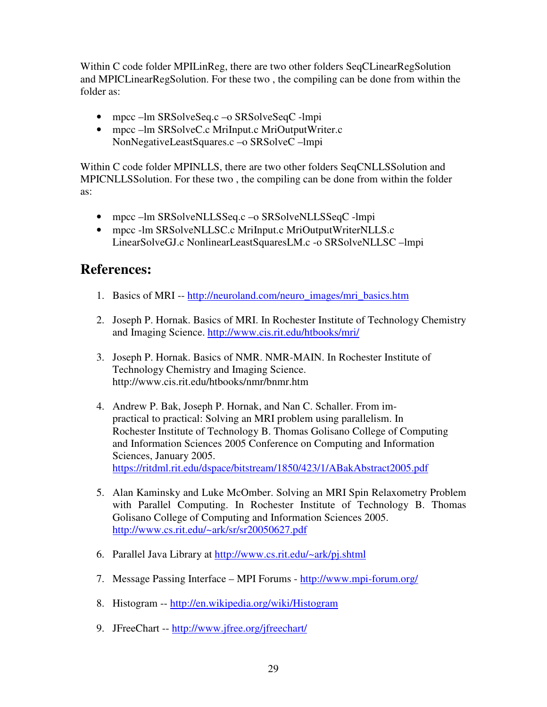Within C code folder MPILinReg, there are two other folders SeqCLinearRegSolution and MPICLinearRegSolution. For these two , the compiling can be done from within the folder as:

- mpcc –lm SRSolveSeq.c –o SRSolveSeqC -lmpi
- mpcc –lm SRSolveC.c MriInput.c MriOutputWriter.c NonNegativeLeastSquares.c –o SRSolveC –lmpi

Within C code folder MPINLLS, there are two other folders SeqCNLLSSolution and MPICNLLSSolution. For these two , the compiling can be done from within the folder as:

- mpcc –lm SRSolveNLLSSeq.c –o SRSolveNLLSSeqC -lmpi
- mpcc -lm SRSolveNLLSC.c MriInput.c MriOutputWriterNLLS.c LinearSolveGJ.c NonlinearLeastSquaresLM.c -o SRSolveNLLSC –lmpi

### **References:**

- 1. Basics of MRI -- http://neuroland.com/neuro\_images/mri\_basics.htm
- 2. Joseph P. Hornak. Basics of MRI. In Rochester Institute of Technology Chemistry and Imaging Science. http://www.cis.rit.edu/htbooks/mri/
- 3. Joseph P. Hornak. Basics of NMR. NMR-MAIN. In Rochester Institute of Technology Chemistry and Imaging Science. http://www.cis.rit.edu/htbooks/nmr/bnmr.htm
- 4. Andrew P. Bak, Joseph P. Hornak, and Nan C. Schaller. From impractical to practical: Solving an MRI problem using parallelism. In Rochester Institute of Technology B. Thomas Golisano College of Computing and Information Sciences 2005 Conference on Computing and Information Sciences, January 2005. https://ritdml.rit.edu/dspace/bitstream/1850/423/1/ABakAbstract2005.pdf
- 5. Alan Kaminsky and Luke McOmber. Solving an MRI Spin Relaxometry Problem with Parallel Computing. In Rochester Institute of Technology B. Thomas Golisano College of Computing and Information Sciences 2005. http://www.cs.rit.edu/~ark/sr/sr20050627.pdf
- 6. Parallel Java Library at http://www.cs.rit.edu/~ark/pj.shtml
- 7. Message Passing Interface MPI Forums http://www.mpi-forum.org/
- 8. Histogram -- http://en.wikipedia.org/wiki/Histogram
- 9. JFreeChart -- http://www.jfree.org/jfreechart/